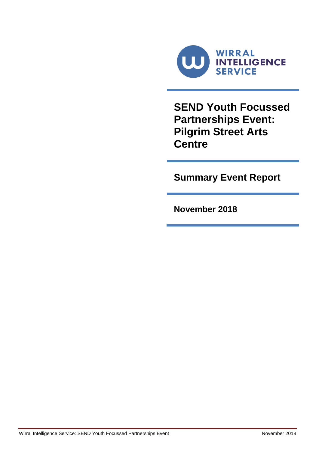

**SEND Youth Focussed Partnerships Event: Pilgrim Street Arts Centre**

**Summary Event Report**

**November 2018**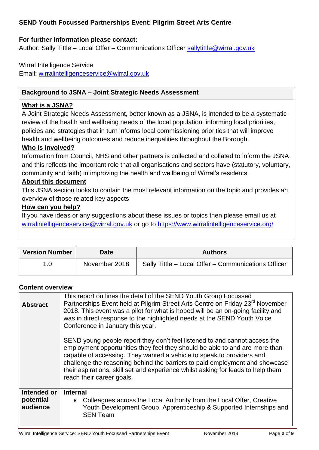# **SEND Youth Focussed Partnerships Event: Pilgrim Street Arts Centre**

## **For further information please contact:**

Author: Sally Tittle – Local Offer – Communications Officer [sallytittle@wirral.gov.uk](mailto:sallytittle@wirral.gov.uk)

## Wirral Intelligence Service Email: [wirralintelligenceservice@wirral.gov.uk](mailto:wirralintelligenceservice@wirral.gov.uk)

## **Background to JSNA – Joint Strategic Needs Assessment**

#### **What is a JSNA?**

A Joint Strategic Needs Assessment, better known as a JSNA, is intended to be a systematic review of the health and wellbeing needs of the local population, informing local priorities, policies and strategies that in turn informs local commissioning priorities that will improve health and wellbeing outcomes and reduce inequalities throughout the Borough.

#### **Who is involved?**

Information from Council, NHS and other partners is collected and collated to inform the JSNA and this reflects the important role that all organisations and sectors have (statutory, voluntary, community and faith) in improving the health and wellbeing of Wirral's residents.

## **About this document**

This JSNA section looks to contain the most relevant information on the topic and provides an overview of those related key aspects

#### **How can you help?**

If you have ideas or any suggestions about these issues or topics then please email us at [wirralintelligenceservice@wirral.gov.uk](mailto:wirralobservatory@wirral.gov.uk) or go to<https://www.wirralintelligenceservice.org/>

| <b>Version Number</b> | <b>Date</b>   | <b>Authors</b>                                      |
|-----------------------|---------------|-----------------------------------------------------|
| 1.0                   | November 2018 | Sally Tittle - Local Offer - Communications Officer |

#### **Content overview**

| <b>Abstract</b>          | This report outlines the detail of the SEND Youth Group Focussed<br>Partnerships Event held at Pilgrim Street Arts Centre on Friday 23 <sup>rd</sup> November<br>2018. This event was a pilot for what is hoped will be an on-going facility and<br>was in direct response to the highlighted needs at the SEND Youth Voice<br>Conference in January this year.                                                                    |  |  |
|--------------------------|------------------------------------------------------------------------------------------------------------------------------------------------------------------------------------------------------------------------------------------------------------------------------------------------------------------------------------------------------------------------------------------------------------------------------------|--|--|
|                          | SEND young people report they don't feel listened to and cannot access the<br>employment opportunities they feel they should be able to and are more than<br>capable of accessing. They wanted a vehicle to speak to providers and<br>challenge the reasoning behind the barriers to paid employment and showcase<br>their aspirations, skill set and experience whilst asking for leads to help them<br>reach their career goals. |  |  |
| Intended or<br>potential | <b>Internal</b>                                                                                                                                                                                                                                                                                                                                                                                                                    |  |  |
| audience                 | Colleagues across the Local Authority from the Local Offer, Creative<br>$\bullet$<br>Youth Development Group, Apprenticeship & Supported Internships and<br><b>SEN Team</b>                                                                                                                                                                                                                                                        |  |  |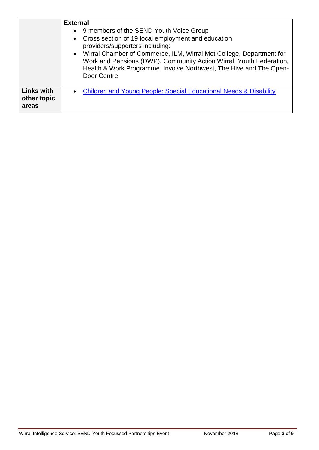|                                           | <b>External</b><br>• 9 members of the SEND Youth Voice Group<br>• Cross section of 19 local employment and education<br>providers/supporters including:<br>• Wirral Chamber of Commerce, ILM, Wirral Met College, Department for<br>Work and Pensions (DWP), Community Action Wirral, Youth Federation,<br>Health & Work Programme, Involve Northwest, The Hive and The Open-<br>Door Centre |
|-------------------------------------------|----------------------------------------------------------------------------------------------------------------------------------------------------------------------------------------------------------------------------------------------------------------------------------------------------------------------------------------------------------------------------------------------|
| <b>Links with</b><br>other topic<br>areas | • Children and Young People: Special Educational Needs & Disability                                                                                                                                                                                                                                                                                                                          |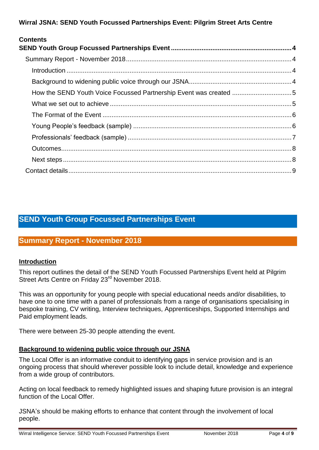**Wirral JSNA: SEND Youth Focussed Partnerships Event: Pilgrim Street Arts Centre**

| <b>Contents</b> |  |
|-----------------|--|
|                 |  |
|                 |  |
|                 |  |
|                 |  |
|                 |  |
|                 |  |
|                 |  |
|                 |  |
|                 |  |
|                 |  |
|                 |  |
|                 |  |

# <span id="page-3-0"></span>**SEND Youth Group Focussed Partnerships Event**

# <span id="page-3-1"></span>**Summary Report - November 2018**

## <span id="page-3-2"></span>**Introduction**

This report outlines the detail of the SEND Youth Focussed Partnerships Event held at Pilgrim Street Arts Centre on Friday 23<sup>rd</sup> November 2018.

This was an opportunity for young people with special educational needs and/or disabilities, to have one to one time with a panel of professionals from a range of organisations specialising in bespoke training, CV writing, Interview techniques, Apprenticeships, Supported Internships and Paid employment leads.

There were between 25-30 people attending the event.

## <span id="page-3-3"></span>**Background to widening public voice through our JSNA**

The Local Offer is an informative conduit to identifying gaps in service provision and is an ongoing process that should wherever possible look to include detail, knowledge and experience from a wide group of contributors.

Acting on local feedback to remedy highlighted issues and shaping future provision is an integral function of the Local Offer.

JSNA's should be making efforts to enhance that content through the involvement of local people.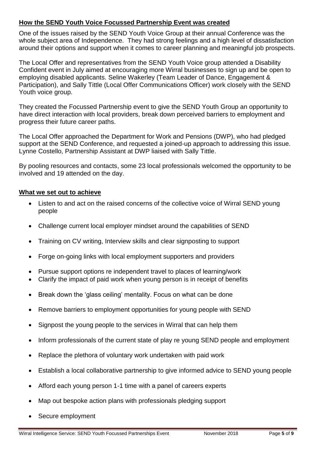## <span id="page-4-0"></span>**How the SEND Youth Voice Focussed Partnership Event was created**

One of the issues raised by the SEND Youth Voice Group at their annual Conference was the whole subject area of Independence. They had strong feelings and a high level of dissatisfaction around their options and support when it comes to career planning and meaningful job prospects.

The Local Offer and representatives from the SEND Youth Voice group attended a Disability Confident event in July aimed at encouraging more Wirral businesses to sign up and be open to employing disabled applicants. Seline Wakerley (Team Leader of Dance, Engagement & Participation), and Sally Tittle (Local Offer Communications Officer) work closely with the SEND Youth voice group.

They created the Focussed Partnership event to give the SEND Youth Group an opportunity to have direct interaction with local providers, break down perceived barriers to employment and progress their future career paths.

The Local Offer approached the Department for Work and Pensions (DWP), who had pledged support at the SEND Conference, and requested a joined-up approach to addressing this issue. Lynne Costello, Partnership Assistant at DWP liaised with Sally Tittle.

By pooling resources and contacts, some 23 local professionals welcomed the opportunity to be involved and 19 attended on the day.

#### <span id="page-4-1"></span>**What we set out to achieve**

- Listen to and act on the raised concerns of the collective voice of Wirral SEND young people
- Challenge current local employer mindset around the capabilities of SEND
- Training on CV writing, Interview skills and clear signposting to support
- Forge on-going links with local employment supporters and providers
- Pursue support options re independent travel to places of learning/work
- Clarify the impact of paid work when young person is in receipt of benefits
- Break down the 'glass ceiling' mentality. Focus on what can be done
- Remove barriers to employment opportunities for young people with SEND
- Signpost the young people to the services in Wirral that can help them
- Inform professionals of the current state of play re young SEND people and employment
- Replace the plethora of voluntary work undertaken with paid work
- Establish a local collaborative partnership to give informed advice to SEND young people
- Afford each young person 1-1 time with a panel of careers experts
- Map out bespoke action plans with professionals pledging support
- Secure employment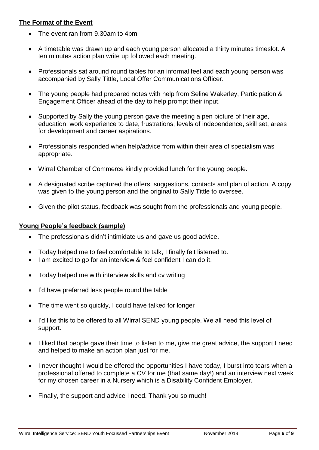## <span id="page-5-0"></span>**The Format of the Event**

- The event ran from 9.30am to 4pm
- A timetable was drawn up and each young person allocated a thirty minutes timeslot. A ten minutes action plan write up followed each meeting.
- Professionals sat around round tables for an informal feel and each young person was accompanied by Sally Tittle, Local Offer Communications Officer.
- The young people had prepared notes with help from Seline Wakerley, Participation & Engagement Officer ahead of the day to help prompt their input.
- Supported by Sally the young person gave the meeting a pen picture of their age, education, work experience to date, frustrations, levels of independence, skill set, areas for development and career aspirations.
- Professionals responded when help/advice from within their area of specialism was appropriate.
- Wirral Chamber of Commerce kindly provided lunch for the young people.
- A designated scribe captured the offers, suggestions, contacts and plan of action. A copy was given to the young person and the original to Sally Tittle to oversee.
- Given the pilot status, feedback was sought from the professionals and young people.

#### <span id="page-5-1"></span>**Young People's feedback (sample)**

- The professionals didn't intimidate us and gave us good advice.
- Today helped me to feel comfortable to talk, I finally felt listened to.
- I am excited to go for an interview & feel confident I can do it.
- Today helped me with interview skills and cv writing
- I'd have preferred less people round the table
- The time went so quickly, I could have talked for longer
- I'd like this to be offered to all Wirral SEND young people. We all need this level of support.
- I liked that people gave their time to listen to me, give me great advice, the support I need and helped to make an action plan just for me.
- I never thought I would be offered the opportunities I have today, I burst into tears when a professional offered to complete a CV for me (that same day!) and an interview next week for my chosen career in a Nursery which is a Disability Confident Employer.
- Finally, the support and advice I need. Thank you so much!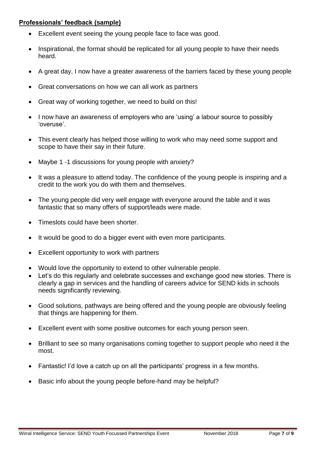## <span id="page-6-0"></span>**Professionals' feedback (sample)**

- Excellent event seeing the young people face to face was good.
- Inspirational, the format should be replicated for all young people to have their needs heard.
- A great day, I now have a greater awareness of the barriers faced by these young people
- Great conversations on how we can all work as partners
- Great way of working together, we need to build on this!
- I now have an awareness of employers who are 'using' a labour source to possibly 'overuse'.
- This event clearly has helped those willing to work who may need some support and scope to have their say in their future.
- Maybe 1 -1 discussions for young people with anxiety?
- It was a pleasure to attend today. The confidence of the young people is inspiring and a credit to the work you do with them and themselves.
- The young people did very well engage with everyone around the table and it was fantastic that so many offers of support/leads were made.
- Timeslots could have been shorter.
- It would be good to do a bigger event with even more participants.
- Excellent opportunity to work with partners
- Would love the opportunity to extend to other vulnerable people.
- Let's do this regularly and celebrate successes and exchange good new stories. There is clearly a gap in services and the handling of careers advice for SEND kids in schools needs significantly reviewing.
- Good solutions, pathways are being offered and the young people are obviously feeling that things are happening for them.
- Excellent event with some positive outcomes for each young person seen.
- Brilliant to see so many organisations coming together to support people who need it the most.
- Fantastic! I'd love a catch up on all the participants' progress in a few months.
- Basic info about the young people before-hand may be helpful?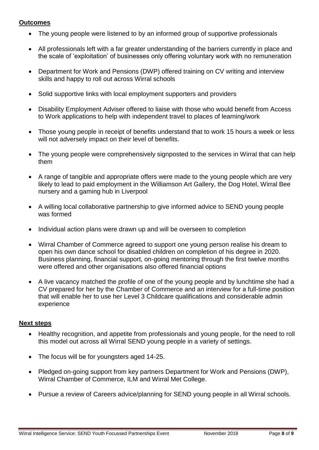#### <span id="page-7-0"></span>**Outcomes**

- The young people were listened to by an informed group of supportive professionals
- All professionals left with a far greater understanding of the barriers currently in place and the scale of 'exploitation' of businesses only offering voluntary work with no remuneration
- Department for Work and Pensions (DWP) offered training on CV writing and interview skills and happy to roll out across Wirral schools
- Solid supportive links with local employment supporters and providers
- Disability Employment Adviser offered to liaise with those who would benefit from Access to Work applications to help with independent travel to places of learning/work
- Those young people in receipt of benefits understand that to work 15 hours a week or less will not adversely impact on their level of benefits.
- The young people were comprehensively signposted to the services in Wirral that can help them
- A range of tangible and appropriate offers were made to the young people which are very likely to lead to paid employment in the Williamson Art Gallery, the Dog Hotel, Wirral Bee nursery and a gaming hub in Liverpool
- A willing local collaborative partnership to give informed advice to SEND young people was formed
- Individual action plans were drawn up and will be overseen to completion
- Wirral Chamber of Commerce agreed to support one young person realise his dream to open his own dance school for disabled children on completion of his degree in 2020. Business planning, financial support, on-going mentoring through the first twelve months were offered and other organisations also offered financial options
- A live vacancy matched the profile of one of the young people and by lunchtime she had a CV prepared for her by the Chamber of Commerce and an interview for a full-time position that will enable her to use her Level 3 Childcare qualifications and considerable admin experience

## <span id="page-7-1"></span>**Next steps**

- Healthy recognition, and appetite from professionals and young people, for the need to roll this model out across all Wirral SEND young people in a variety of settings.
- The focus will be for youngsters aged 14-25.
- Pledged on-going support from key partners Department for Work and Pensions (DWP). Wirral Chamber of Commerce, ILM and Wirral Met College.
- Pursue a review of Careers advice/planning for SEND young people in all Wirral schools.